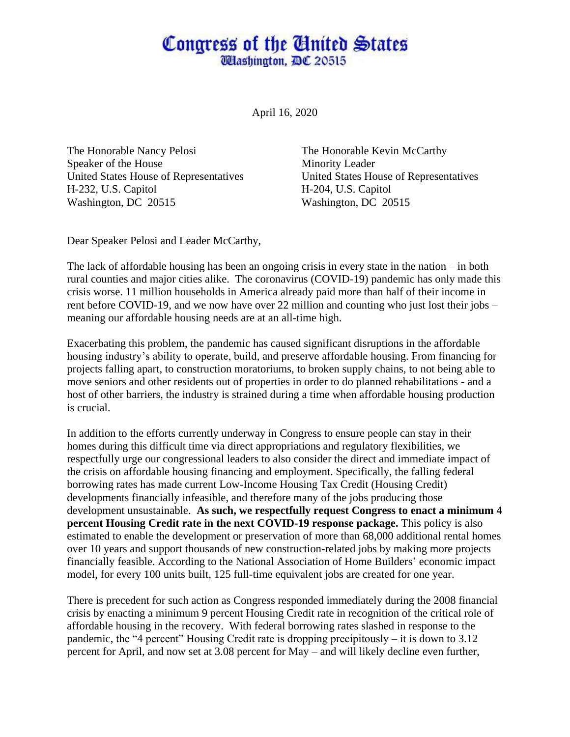## Congress of the United States **Wlashington, DC 20515**

April 16, 2020

The Honorable Nancy Pelosi The Honorable Kevin McCarthy Speaker of the House Minority Leader United States House of Representatives United States House of Representatives H-232, U.S. Capitol H-204, U.S. Capitol Washington, DC 20515 Washington, DC 20515

Dear Speaker Pelosi and Leader McCarthy,

The lack of affordable housing has been an ongoing crisis in every state in the nation – in both rural counties and major cities alike. The coronavirus (COVID-19) pandemic has only made this crisis worse. 11 million households in America already paid more than half of their income in rent before COVID-19, and we now have over 22 million and counting who just lost their jobs – meaning our affordable housing needs are at an all-time high.

Exacerbating this problem, the pandemic has caused significant disruptions in the affordable housing industry's ability to operate, build, and preserve affordable housing. From financing for projects falling apart, to construction moratoriums, to broken supply chains, to not being able to move seniors and other residents out of properties in order to do planned rehabilitations - and a host of other barriers, the industry is strained during a time when affordable housing production is crucial.

In addition to the efforts currently underway in Congress to ensure people can stay in their homes during this difficult time via direct appropriations and regulatory flexibilities, we respectfully urge our congressional leaders to also consider the direct and immediate impact of the crisis on affordable housing financing and employment. Specifically, the falling federal borrowing rates has made current Low-Income Housing Tax Credit (Housing Credit) developments financially infeasible, and therefore many of the jobs producing those development unsustainable. **As such, we respectfully request Congress to enact a minimum 4 percent Housing Credit rate in the next COVID-19 response package.** This policy is also estimated to enable the development or preservation of more than 68,000 additional rental homes over 10 years and support thousands of new construction-related jobs by making more projects financially feasible. According to the National Association of Home Builders' economic impact model, for every 100 units built, 125 full-time equivalent jobs are created for one year.

There is precedent for such action as Congress responded immediately during the 2008 financial crisis by enacting a minimum 9 percent Housing Credit rate in recognition of the critical role of affordable housing in the recovery. With federal borrowing rates slashed in response to the pandemic, the "4 percent" Housing Credit rate is dropping precipitously – it is down to 3.12 percent for April, and now set at 3.08 percent for May – and will likely decline even further,